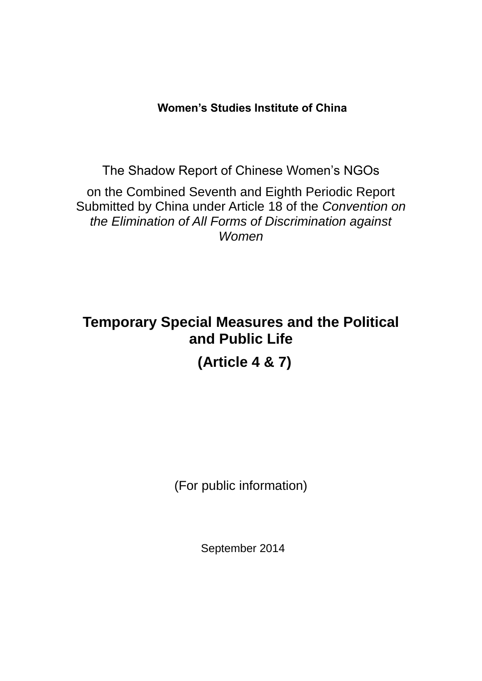**Women's Studies Institute of China**

The Shadow Report of Chinese Women's NGOs

on the Combined Seventh and Eighth Periodic Report Submitted by China under Article 18 of the *Convention on the Elimination of All Forms of Discrimination against Women*

# **Temporary Special Measures and the Political and Public Life**

**(Article 4 & 7)**

(For public information)

September 2014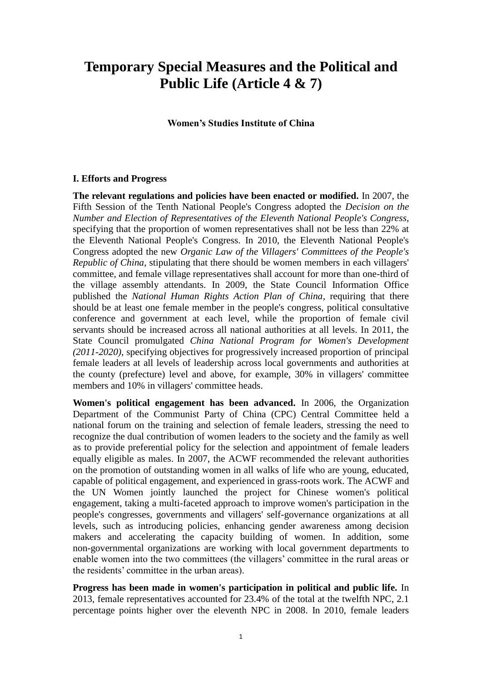### **Temporary Special Measures and the Political and Public Life (Article 4 & 7)**

**Women's Studies Institute of China**

#### **I. Efforts and Progress**

**The relevant regulations and policies have been enacted or modified.** In 2007, the Fifth Session of the Tenth National People's Congress adopted the *Decision on the Number and Election of Representatives of the Eleventh National People's Congress*, specifying that the proportion of women representatives shall not be less than 22% at the Eleventh National People's Congress. In 2010, the Eleventh National People's Congress adopted the new *Organic Law of the Villagers' Committees of the People's Republic of China*, stipulating that there should be women members in each villagers' committee, and female village representatives shall account for more than one-third of the village assembly attendants. In 2009, the State Council Information Office published the *National Human Rights Action Plan of China*, requiring that there should be at least one female member in the people's congress, political consultative conference and government at each level, while the proportion of female civil servants should be increased across all national authorities at all levels. In 2011, the State Council promulgated *China National Program for Women's Development (2011-2020)*, specifying objectives for progressively increased proportion of principal female leaders at all levels of leadership across local governments and authorities at the county (prefecture) level and above, for example, 30% in villagers' committee members and 10% in villagers' committee heads.

**Women's political engagement has been advanced.** In 2006, the Organization Department of the Communist Party of China (CPC) Central Committee held a national forum on the training and selection of female leaders, stressing the need to recognize the dual contribution of women leaders to the society and the family as well as to provide preferential policy for the selection and appointment of female leaders equally eligible as males. In 2007, the ACWF recommended the relevant authorities on the promotion of outstanding women in all walks of life who are young, educated, capable of political engagement, and experienced in grass-roots work. The ACWF and the UN Women jointly launched the project for Chinese women's political engagement, taking a multi-faceted approach to improve women's participation in the people's congresses, governments and villagers' self-governance organizations at all levels, such as introducing policies, enhancing gender awareness among decision makers and accelerating the capacity building of women. In addition, some non-governmental organizations are working with local government departments to enable women into the two committees (the villagers' committee in the rural areas or the residents' committee in the urban areas).

**Progress has been made in women's participation in political and public life.** In 2013, female representatives accounted for 23.4% of the total at the twelfth NPC, 2.1 percentage points higher over the eleventh NPC in 2008. In 2010, female leaders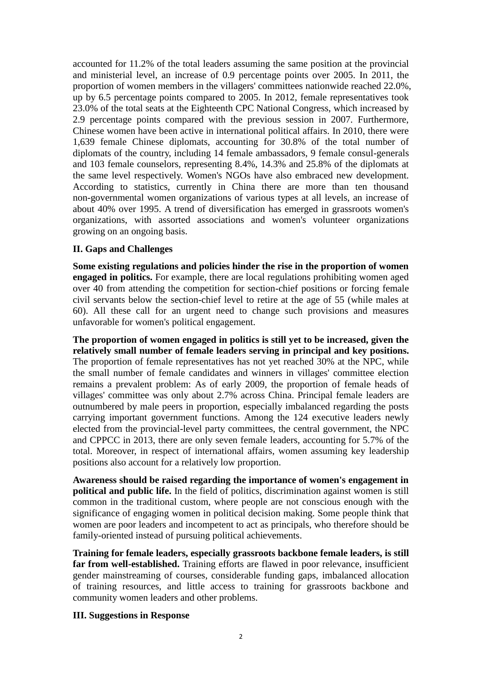accounted for 11.2% of the total leaders assuming the same position at the provincial and ministerial level, an increase of 0.9 percentage points over 2005. In 2011, the proportion of women members in the villagers' committees nationwide reached 22.0%, up by 6.5 percentage points compared to 2005. In 2012, female representatives took 23.0% of the total seats at the Eighteenth CPC National Congress, which increased by 2.9 percentage points compared with the previous session in 2007. Furthermore, Chinese women have been active in international political affairs. In 2010, there were 1,639 female Chinese diplomats, accounting for 30.8% of the total number of diplomats of the country, including 14 female ambassadors, 9 female consul-generals and 103 female counselors, representing 8.4%, 14.3% and 25.8% of the diplomats at the same level respectively. Women's NGOs have also embraced new development. According to statistics, currently in China there are more than ten thousand non-governmental women organizations of various types at all levels, an increase of about 40% over 1995. A trend of diversification has emerged in grassroots women's organizations, with assorted associations and women's volunteer organizations growing on an ongoing basis.

#### **II. Gaps and Challenges**

**Some existing regulations and policies hinder the rise in the proportion of women engaged in politics.** For example, there are local regulations prohibiting women aged over 40 from attending the competition for section-chief positions or forcing female civil servants below the section-chief level to retire at the age of 55 (while males at 60). All these call for an urgent need to change such provisions and measures unfavorable for women's political engagement.

**The proportion of women engaged in politics is still yet to be increased, given the relatively small number of female leaders serving in principal and key positions.** The proportion of female representatives has not yet reached 30% at the NPC, while the small number of female candidates and winners in villages' committee election remains a prevalent problem: As of early 2009, the proportion of female heads of villages' committee was only about 2.7% across China. Principal female leaders are outnumbered by male peers in proportion, especially imbalanced regarding the posts carrying important government functions. Among the 124 executive leaders newly elected from the provincial-level party committees, the central government, the NPC and CPPCC in 2013, there are only seven female leaders, accounting for 5.7% of the total. Moreover, in respect of international affairs, women assuming key leadership positions also account for a relatively low proportion.

**Awareness should be raised regarding the importance of women's engagement in political and public life.** In the field of politics, discrimination against women is still common in the traditional custom, where people are not conscious enough with the significance of engaging women in political decision making. Some people think that women are poor leaders and incompetent to act as principals, who therefore should be family-oriented instead of pursuing political achievements.

**Training for female leaders, especially grassroots backbone female leaders, is still far from well-established.** Training efforts are flawed in poor relevance, insufficient gender mainstreaming of courses, considerable funding gaps, imbalanced allocation of training resources, and little access to training for grassroots backbone and community women leaders and other problems.

#### **III. Suggestions in Response**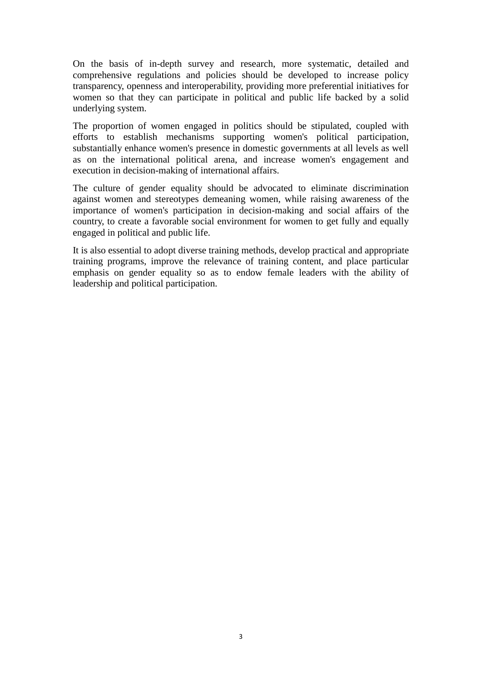On the basis of in-depth survey and research, more systematic, detailed and comprehensive regulations and policies should be developed to increase policy transparency, openness and interoperability, providing more preferential initiatives for women so that they can participate in political and public life backed by a solid underlying system.

The proportion of women engaged in politics should be stipulated, coupled with efforts to establish mechanisms supporting women's political participation, substantially enhance women's presence in domestic governments at all levels as well as on the international political arena, and increase women's engagement and execution in decision-making of international affairs.

The culture of gender equality should be advocated to eliminate discrimination against women and stereotypes demeaning women, while raising awareness of the importance of women's participation in decision-making and social affairs of the country, to create a favorable social environment for women to get fully and equally engaged in political and public life.

It is also essential to adopt diverse training methods, develop practical and appropriate training programs, improve the relevance of training content, and place particular emphasis on gender equality so as to endow female leaders with the ability of leadership and political participation.